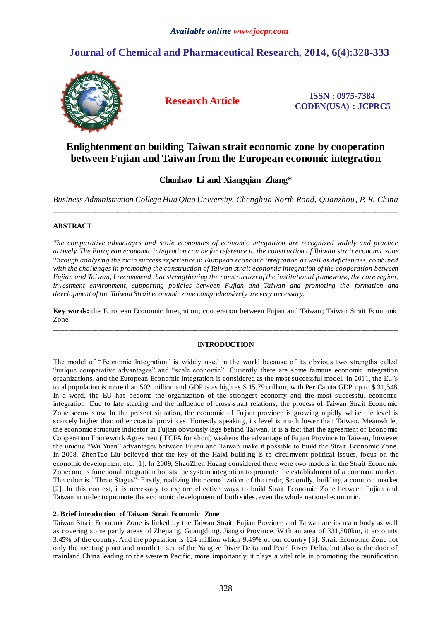# **Journal of Chemical and Pharmaceutical Research, 2014, 6(4):328-333**



**Research Article ISSN : 0975-7384 CODEN(USA) : JCPRC5**

# **Enlightenment on building Taiwan strait economic zone by cooperation between Fujian and Taiwan from the European economic integration**

# **Chunhao Li and Xiangqian Zhang\***

*Business Administration College Hua Qiao University, Chenghua North Road, Quanzhou, P. R. China* \_\_\_\_\_\_\_\_\_\_\_\_\_\_\_\_\_\_\_\_\_\_\_\_\_\_\_\_\_\_\_\_\_\_\_\_\_\_\_\_\_\_\_\_\_\_\_\_\_\_\_\_\_\_\_\_\_\_\_\_\_\_\_\_\_\_\_\_\_\_\_\_\_\_\_\_\_\_\_\_\_\_\_\_\_\_\_\_\_\_\_\_\_

## **ABSTRACT**

*The comparative advantages and scale economies of economic integration are recognized widely and practice actively. The European economic integration can be for reference to the construction of Taiwan strait economic zone. Through analyzing the main success experience in European economic integration as well as deficiencies, combined*  with the challenges in promoting the construction of Taiwan strait economic integration of the cooperation between *Fujian and Taiwan, I recommend that strengthening the construction of the institutional framework, the core region, investment environment, supporting policies between Fujian and Taiwan and promoting the formation and development of the Taiwan Strait economic zone comprehensively are very necessary.* 

**Key words:** the European Economic Integration; cooperation between Fujian and Taiwan ; Taiwan Strait Economic Zone \_\_\_\_\_\_\_\_\_\_\_\_\_\_\_\_\_\_\_\_\_\_\_\_\_\_\_\_\_\_\_\_\_\_\_\_\_\_\_\_\_\_\_\_\_\_\_\_\_\_\_\_\_\_\_\_\_\_\_\_\_\_\_\_\_\_\_\_\_\_\_\_\_\_\_\_\_\_\_\_\_\_\_\_\_\_\_\_\_\_\_\_\_

### **INTRODUCTION**

The model of "Economic Integration" is widely used in the world because of its obvious two strengths called "unique comparative advantages" and "scale economic". Currently there are some famous economic integration organizations, and the European Economic Integration is considered as the most successful model. In 2011, the EU's total population is more than 502 million and GDP is as high as \$ 15.79 trillion, with Per Capita GDP up to \$ 31,548. In a word, the EU has become the organization of the strongest economy and the most successful economic integration. Due to late starting and the influence of cross-strait relations, the process of Taiwan Strait Economic Zone seems slow. In the present situation, the economic of Fujian province is growing rapidly while the level is scarcely higher than other coastal provinces. Honestly speaking, its level is much lower than Taiwan. Meanwhile, the economic structure indicator in Fujian obviously lags behind Taiwan. It is a fact that the agreement of Economic Cooperation Framework Agreement( ECFA for short) weakens the advantage of Fujian Province to Taiwan, however the unique "Wu Yuan" advantages between Fujian and Taiwan make it possible to build the Strait Economic Zone. In 2008, ZhenTao Liu believed that the key of the Haixi building is to circumvent political issues, focus on the economic development etc. [1]. In 2009, ShaoZhen Huang considered there were two models in the Strait Economic Zone: one is functional integration boosts the system integration to promote the establishment of a common market. The other is "Three Stages": Firstly, realizing the normalization of the trade; Secondly, building a common market [2]. In this context, it is necessary to explore effective ways to build Strait Economic Zone between Fujian and Taiwan in order to promote the economic development of both sides, even the whole national economic.

### **2. Brief introduction of Taiwan Strait Economic Zone**

Taiwan Strait Economic Zone is linked by the Taiwan Strait. Fujian Province and Taiwan are its main body as well as covering some partly areas of Zhejiang, Guangdong, Jiangxi Province. With an area of 331,500km, it accounts 3.45% of the country. And the population is 124 million which 9.49% of our country [3]. Strait Economic Zone not only the meeting point and mouth to sea of the Yangtze River Delta and Pearl River Delta, but also is the door of mainland China leading to the western Pacific, more importantly, it plays a vital role in promoting the reunification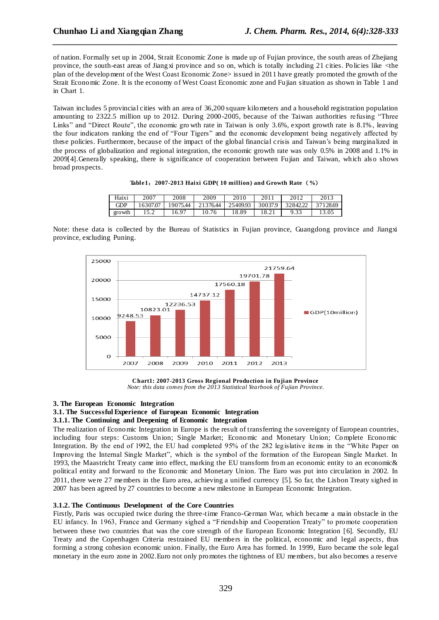of nation. Formally set up in 2004, Strait Economic Zone is made up of Fujian province, the south areas of Zhejiang province, the south-east areas of Jiangxi province and so on, which is totally including 21 cities. Policies like <the plan of the development of the West Coast Economic Zone> issued in 2011 have greatly promoted the growth of the Strait Economic Zone. It is the economy of West Coast Economic zone and Fujian situation as shown in Table 1 and in Chart 1.

*\_\_\_\_\_\_\_\_\_\_\_\_\_\_\_\_\_\_\_\_\_\_\_\_\_\_\_\_\_\_\_\_\_\_\_\_\_\_\_\_\_\_\_\_\_\_\_\_\_\_\_\_\_\_\_\_\_\_\_\_\_\_\_\_\_\_\_\_\_\_\_\_\_\_\_\_\_\_*

Taiwan includes 5 provincial cities with an area of 36,200 square kilometers and a household registration population amounting to 2322.5 million up to 2012. During 2000-2005, because of the Taiwan authorities refusing "Three Links" and "Direct Route", the economic gro wth rate in Taiwan is only 3.6%, export growth rate is 8.1%, leaving the four indicators ranking the end of "Four Tigers" and the economic development being negatively affected by these policies. Furthermore, because of the impact of the global financial crisis and Taiwan's being marginalized in the process of globalization and regional integration, the economic growth rate was only 0.5% in 2008 and 1.1% in 2009[4].Generally speaking, there is significance of cooperation between Fujian and Taiwan, which als o shows broad prospects.

|  | Table 1: 2007-2013 Haixi GDP(10 million) and Growth Rate (%) |  |
|--|--------------------------------------------------------------|--|
|  |                                                              |  |

| Haixi      | 2007     | 2008     | 2009     | 2010     | 2011    | 2012     | 2013     |
|------------|----------|----------|----------|----------|---------|----------|----------|
| <b>GDP</b> | 16307.07 | 19075.44 | 21376.44 | 25409.93 | 30037.9 | 32842.22 | 37128.69 |
| growth     | ⊿. ب     | 16.97    | 10.76    | 18.89    | 8.21    | 9.33     |          |

Note: these data is collected by the Bureau of Statistics in Fujian province, Guangdong province and Jiangxi province, excluding Puning.



**Chart1: 2007-2013 Gross Regional Production in Fujian Province** *Note: this data comes from the 2013 Statistical Yearbook of Fujian Province.*

#### **3. The European Economic Integration**

## **3.1. The Successful Experience of European Economic Integration**

#### **3.1.1. The Continuing and Deepening of Economic Integration**

The realization of Economic Integration in Europe is the result of transferring the sovereignty of European countries, including four steps: Customs Union; Single Market; Economic and Monetary Union; Complete Economic Integration. By the end of 1992, the EU had completed 95% of the 282 legislative items in the "White Paper on Improving the Internal Single Market", which is the symbol of the formation of the European Single Market. In 1993, the Maastricht Treaty came into effect, marking the EU transform from an economic entity to an economic& political entity and forward to the Economic and Monetary Union. The Euro was put into circulation in 2002. In 2011, there were 27 members in the Euro area, achieving a unified currency [5]. So far, the Lisbon Treaty sighed in 2007 has been agreed by 27 countries to become a new milestone in European Economic Integration.

#### **3.1.2. The Continuous Development of the Core Countries**

Firstly, Paris was occupied twice during the three-time Franco-German War, which became a main obstacle in the EU infancy. In 1963, France and Germany sighed a "Friendship and Cooperation Treaty" to promote cooperation between these two countries that was the core strength of the European Economic Integration [6]. Secondly, EU Treaty and the Copenhagen Criteria restrained EU members in the political, economic and legal aspects, thus forming a strong cohesion economic union. Finally, the Euro Area has formed. In 1999, Euro became the sole legal monetary in the euro zone in 2002.Euro not only promotes the tightness of EU members, but also becomes a reserve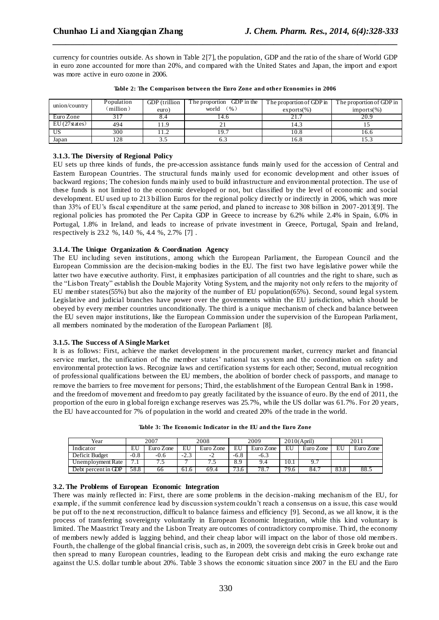currency for countries outside. As shown in Table 2[7], the population, GDP and the ratio of the share of World GDP in euro zone accounted for more than 20%, and compared with the United States and Japan, the import and export was more active in euro ozone in 2006.

*\_\_\_\_\_\_\_\_\_\_\_\_\_\_\_\_\_\_\_\_\_\_\_\_\_\_\_\_\_\_\_\_\_\_\_\_\_\_\_\_\_\_\_\_\_\_\_\_\_\_\_\_\_\_\_\_\_\_\_\_\_\_\_\_\_\_\_\_\_\_\_\_\_\_\_\_\_\_*

| union/country | Population<br>(million) | GDP (trillion<br>euro) | The proportion GDP in the<br>(96)<br>world | The proportion of GDP in<br>$exports(\%)$ | The proportion of GDP in<br>$imports(\%)$ |
|---------------|-------------------------|------------------------|--------------------------------------------|-------------------------------------------|-------------------------------------------|
| Euro Zone     | 317                     |                        | 14.6                                       |                                           | 20.9                                      |
| EU(27 states) | 494                     | 1.9                    | ∠⊥                                         | 14.3                                      |                                           |
| US            | 300                     | 1.2                    | 19.1                                       | 10.8                                      | 16.6                                      |
| Japan         | 128                     |                        | 0.2                                        | 16.8                                      |                                           |

|  | Table 2: The Comparison between the Euro Zone and other Economies in 2006 |  |  |  |  |  |
|--|---------------------------------------------------------------------------|--|--|--|--|--|
|  |                                                                           |  |  |  |  |  |

### **3.1.3. The Diversity of Regional Policy**

EU sets up three kinds of funds, the pre-accession assistance funds mainly used for the accession of Central and Eastern European Countries. The structural funds mainly used for economic development and other issues of backward regions; The cohesion funds mainly used to build infrastructure and environmental protection. The use of these funds is not limited to the economic developed or not, but classified by the level of economic and social development. EU used up to 213 billion Euros for the regional policy directly or indirectly in 2006, which was more than 33% of EU's fiscal expenditure at the same period, and planed to increase to 308 billion in 2007-2013[9]. The regional policies has promoted the Per Capita GDP in Greece to increase by 6.2% while 2.4% in Spain, 6.0% in Portugal, 1.8% in Ireland, and leads to increase of private investment in Greece, Portugal, Spain and Ireland, respectively is 23.2 %, 14.0 %, 4.4 %, 2.7% [7] .

### **3.1.4. The Unique Organization & Coordination Agency**

The EU including seven institutions, among which the European Parliament, the European Council and the European Commission are the decision-making bodies in the EU. The first two have legislative power while the latter two have executive authority. First, it emphasizes participation of all countries and the right to share, such as the "Lisbon Treaty" establish the Double Majority Voting System, and the majority not only refers to the majority of EU member states(55%) but also the majority of the number of EU population(65%). Second, sound legal system. Legislative and judicial branches have power over the governments within the EU jurisdiction, which should be obeyed by every member countries unconditionally. The third is a unique mechanism of check and balance between the EU seven major institutions, like the European Commission under the supervision of the European Parliament, all members nominated by the moderation of the European Parliament [8].

### **3.1.5. The Success of A Single Market**

It is as follows: First, achieve the market development in the procurement market, currency market and financial service market, the unification of the member states' national tax system and the coordination on safety and environmental protection laws. Recognize laws and certification systems for each other; Second, mutual recognition of professional qualifications between the EU members, the abolition of border check of passports, and manage to remove the barriers to free movement for persons; Third, the establishment of the European Central Bank in 1998, and the freedom of movement and freedom to pay greatly facilitated by the issuance of euro. By the end of 2011, the proportion of the euro in global foreign exchange reserves was 25.7%, while the US dollar was 61.7%. For 20 years, the EU have accounted for 7% of population in the world and created 20% of the trade in the world.

| Year                | 2007   |           | 2008   |                | 2009              |           | 2010(April) |           | 2011 |           |
|---------------------|--------|-----------|--------|----------------|-------------------|-----------|-------------|-----------|------|-----------|
| Indicator           | EU     | Euro Zone | EU     | Euro Zone      | EU                | Euro Zone | EU          | Euro Zone | EU   | Euro Zone |
| Deficit Budget      | $-0.8$ | $-0.6$    | $-2.3$ | $\sim$<br>$-L$ | $-6.8$            | $-6.3$    |             |           |      |           |
| Unemployment Rate   | . .    |           |        |                | 8.9               | 9.4       | 10.1        | 9.        |      |           |
| Debt percent in GDP | 58.8   | 66        | 61.6   | 69.4           | $7\overline{3.6}$ | 78.7      | 79.6        | 84.7      | 83.8 | 88.5      |

**Table 3: The Economic Indicator in the EU and the Euro Zone**

### **3.2. The Problems of European Economic Integration**

There was mainly reflected in: First, there are some problems in the decision-making mechanism of the EU, for example, if the summit conference lead by discussion system couldn't reach a consensus on a issue, this case would be put off to the next reconstruction, difficult to balance fairness and efficiency [9]. Second, as we all know, it is the process of transferring sovereignty voluntarily in European Economic Integration, while this kind voluntary is limited. The Maastrict Treaty and the Lisbon Treaty are outcomes of contradictory compromise. Third, the economy of members newly added is lagging behind, and their cheap labor will impact on the labor of those old members. Fourth, the challenge of the global financial crisis, such as, in 2009, the sovereign debt crisis in Greek broke out and then spread to many European countries, leading to the European debt crisis and making the euro exchange rate against the U.S. dollar tumble about 20%. Table 3 shows the economic situation since 2007 in the EU and the Euro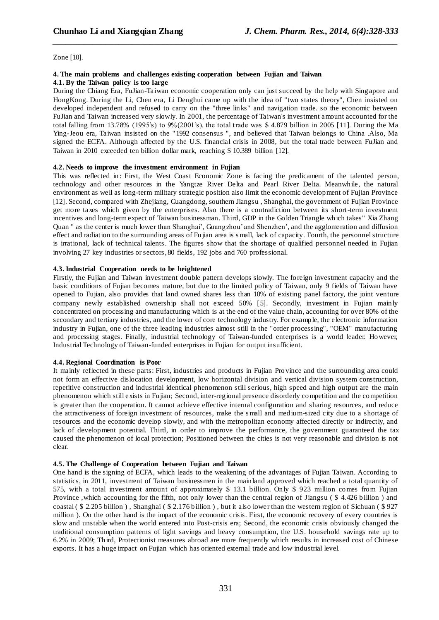Zone [10].

#### **4. The main problems and challenges existing cooperation between Fujian and Taiwan 4.1. By the Taiwan policy is too large**

During the Chiang Era, FuJian-Taiwan economic cooperation only can just succeed by the help with Sing apore and HongKong. During the Li, Chen era, Li Denghui came up with the idea of "two states theory", Chen insisted on developed independent and refused to carry on the "three links" and navigation trade. so the economic between FuJian and Taiwan increased very slowly. In 2001, the percentage of Taiwan's investment amount accounted for the total falling from 13.78% (1995's) to 9%(2001's). the total trade was \$ 4.879 billion in 2005 [11]. During the Ma Ying-Jeou era, Taiwan insisted on the "1992 consensus ", and believed that Taiwan belongs to China .Also, Ma signed the ECFA. Although affected by the U.S. financial crisis in 2008, but the total trade between FuJian and Taiwan in 2010 exceeded ten billion dollar mark, reaching \$ 10.389 billion [12].

*\_\_\_\_\_\_\_\_\_\_\_\_\_\_\_\_\_\_\_\_\_\_\_\_\_\_\_\_\_\_\_\_\_\_\_\_\_\_\_\_\_\_\_\_\_\_\_\_\_\_\_\_\_\_\_\_\_\_\_\_\_\_\_\_\_\_\_\_\_\_\_\_\_\_\_\_\_\_*

### **4.2. Needs to improve the investment environment in Fujian**

This was reflected in: First, the West Coast Economic Zone is facing the predicament of the talented person, technology and other resources in the Yangtze River Delta and Pearl River Delta. Meanwhile, the natural environment as well as long-term military strategic position also limit the economic development of Fujian Province [12]. Second, compared with Zhejiang, Guangdong, southern Jiangsu , Shanghai, the government of Fujian Province get more taxes which given by the enterprises. Also there is a contradiction between its short-term investment incentives and long-term expect of Taiwan businessman. Third, GDP in the Golden Triangle which takes" Xia Zhang Quan " as the center is much lower than Shanghai', Guangzhou' and Shenzhen', and the agglomeration and diffusion effect and radiation to the surrounding areas of Fujian area is s mall, lack of capacity. Fourth, the personnel structure is irrational, lack of technical talents. The figures show that the shortage of qualified personnel needed in Fujian involving 27 key industries or sectors, 80 fields, 192 jobs and 760 professional.

## **4.3. Industrial Cooperation needs to be heightened**

Firstly, the Fujian and Taiwan investment double pattern develops slowly. The fo reign investment capacity and the basic conditions of Fujian becomes mature, but due to the limited policy of Taiwan, only 9 fields of Taiwan have opened to Fujian, also provides that land owned shares less than 10% of existing panel factory, the joint venture company newly established ownership shall not exceed 50% [5]. Secondly, investment in Fujian mainly concentrated on processing and manufacturing which is at the end of the value chain, accounting for over 80% of the secondary and tertiary industries, and the lower of core technology industry. For example, the electronic information industry in Fujian, one of the three leading industries almost still in the "order processing", "OEM" manufacturing and processing stages. Finally, industrial technology of Taiwan-funded enterprises is a world leader. However, Industrial Technology of Taiwan-funded enterprises in Fujian for output insufficient.

### **4.4. Regional Coordination is Poor**

It mainly reflected in these parts: First, industries and products in Fujian Pro vince and the surrounding area could not form an effective dislocation development, low horizontal division and vertical division system construction, repetitive construction and industrial identical phenomenon still serious, high speed and high output are the main phenomenon which still exists in Fujian; Second, inter-regional presence disorderly competition and the competition is greater than the cooperation. It cannot achieve effective internal configuration and sharing resources, and reduce the attractiveness of foreign investment of resources, make the s mall and medium-sized city due to a shortage of resources and the economic develop slowly, and with the metropolitan economy affected directly or indirectly, and lack of development potential. Third, in order to improve the performance, the government guaranteed the tax caused the phenomenon of local protection; Positioned between the cities is not very reasonable and division is not clear.

### **4.5. The Challenge of Cooperation between Fujian and Taiwan**

One hand is the signing of ECFA, which leads to the weakening of the advantages of Fujian Taiwan. According to statistics, in 2011, investment of Taiwan businessmen in the mainland approved which reached a total quantity of 575, with a total investment amount of approximately \$ 13.1 billion. Only \$ 923 million comes from Fujian Province ,which accounting for the fifth, not only lower than the central region of Jiangsu ( \$ 4.426 billion ) and coastal ( \$ 2.205 billion ) , Shanghai ( \$ 2.176 billion ) , but it also lower than the western region of Sichuan ( \$ 927 million ). On the other hand is the impact of the economic crisis. First, the economic recovery of every countries is slow and unstable when the world entered into Post-crisis era; Second, the economic crisis obviously changed the traditional consumption patterns of light savings and heavy consumption, the U.S. household savings rate up to 6.2% in 2009; Third, Protectionist measures abroad are more frequently which results in increased cost of Chinese exports. It has a huge impact on Fujian which has oriented external trade and low industrial level.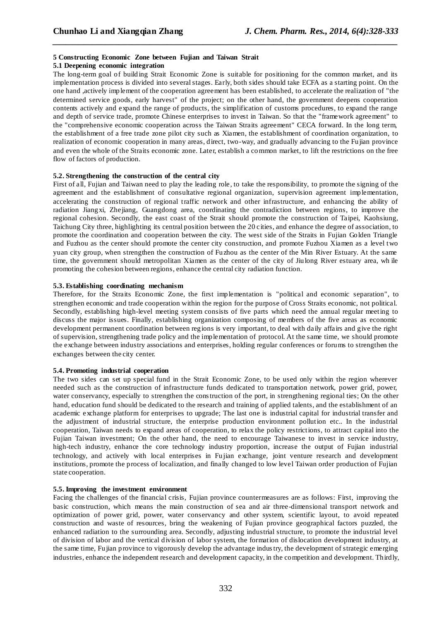# **5 Constructing Economic Zone between Fujian and Taiwan Strait**

## **5.1 Deepening economic integration**

The long-term goal of building Strait Economic Zone is suitable for positioning for the common market, and its implementation process is divided into several stages. Early, both sides should take ECFA as a starting point. On the one hand ,actively implement of the cooperation agreement has been established, to accelerate the realization of "the determined service goods, early harvest" of the project; on the other hand, the government deepens cooperation contents actively and expand the range of products, the simplification of customs procedures, to expand the range and depth of service trade, promote Chinese enterprises to invest in Taiwan. So that the "framework agreement" to the "comprehensive economic cooperation across the Taiwan Straits agreement" CECA forward. In the long term, the establishment of a free trade zone pilot city such as Xiamen, the establishment of coordination organization, to realization of economic cooperation in many areas, direct, two-way, and gradually advancing to the Fujian province and even the whole of the Straits economic zone. Later, establish a common market, to lift the restrictions on the free flow of factors of production.

*\_\_\_\_\_\_\_\_\_\_\_\_\_\_\_\_\_\_\_\_\_\_\_\_\_\_\_\_\_\_\_\_\_\_\_\_\_\_\_\_\_\_\_\_\_\_\_\_\_\_\_\_\_\_\_\_\_\_\_\_\_\_\_\_\_\_\_\_\_\_\_\_\_\_\_\_\_\_*

### **5.2. Strengthening the construction of the central city**

First of all, Fujian and Taiwan need to play the leading role, to take the responsibility, to promote the signing of the agreement and the establishment of consultative regional organization, supervision agreement implementation, accelerating the construction of regional traffic network and other infrastructure, and enhancing the ability of radiation Jiangxi, Zhejiang, Guangdong area, coordinating the contradiction between regions, to improve the regional cohesion. Secondly, the east coast of the Strait should promote the construction of Taipei, Kaohsiung, Taichung City three, highlighting its central position between the 20 cities, and enhance the degree of association, to promote the coordination and cooperation between the city. The west side of the Straits in Fujian Golden Triangle and Fuzhou as the center should promote the center city construction, and promote Fuzhou Xiamen as a level two yuan city group, when strengthen the construction of Fuzhou as the center of the Min River Estuary. At the same time, the government should metropolitan Xiamen as the center of the city of Jiulong River estuary area, wh ile promoting the cohesion between regions, enhance the central city radiation function.

### **5.3. Establishing coordinating mechanism**

Therefore, for the Straits Economic Zone, the first implementation is "political and economic separation", to strengthen economic and trade cooperation within the region for the purpose of Cross Straits economic, not political. Secondly, establishing high-level meeting system consists of five parts which need the annual regular meeting to discuss the major issues. Finally, establishing organization composing of members of the five areas as economic development permanent coordination between regions is very important, to deal with daily affairs and give the right of supervision, strengthening trade policy and the implementation of protocol. At the same time, we should promote the exchange between industry associations and enterprises, holding regular conferences or forums to strengthen the exchanges between the city center.

#### **5.4. Promoting industrial cooperation**

The two sides can set up special fund in the Strait Economic Zone, to be used only within the region wherever needed such as the construction of infrastructure funds dedicated to transportation network, power grid, power, water conservancy, especially to strengthen the construction of the port, in strengthening regional ties; On the other hand, education fund should be dedicated to the research and training of applied talents, and the establishment of an academic exchange platform for enterprises to upgrade; The last one is industrial capital for industrial transfer and the adjustment of industrial structure, the enterprise production environment pollution etc.. In the industrial cooperation, Taiwan needs to expand areas of cooperation, to relax the policy restrictions, to attract capital into the Fujian Taiwan investment; On the other hand, the need to encourage Taiwanese to invest in service industry, high-tech industry, enhance the core technology industry proportion, increase the output of Fujian industrial technology, and actively with local enterprises in Fujian exchange, joint venture research and development institutions, promote the process of localization, and finally changed to low level Taiwan order production of Fujian state cooperation.

#### **5.5. Improving the investment environment**

Facing the challenges of the financial crisis, Fujian province countermeasures are as follows: First, improving the basic construction, which means the main construction of sea and air three-dimensional transport network and optimization of power grid, power, water conservancy and other system, scientific layout, to avoid repeated construction and waste of resources, bring the weakening of Fujian province geographical factors puzzled, the enhanced radiation to the surrounding area. Secondly, adjusting industrial structure, to promote the industrial level of division of labor and the vertical division of labor system, the formation of dislocation development industry, at the same time, Fujian province to vigorously develop the advantage industry, the development of strategic emerging industries, enhance the independent research and development capacity, in the competition and development. Thirdly,